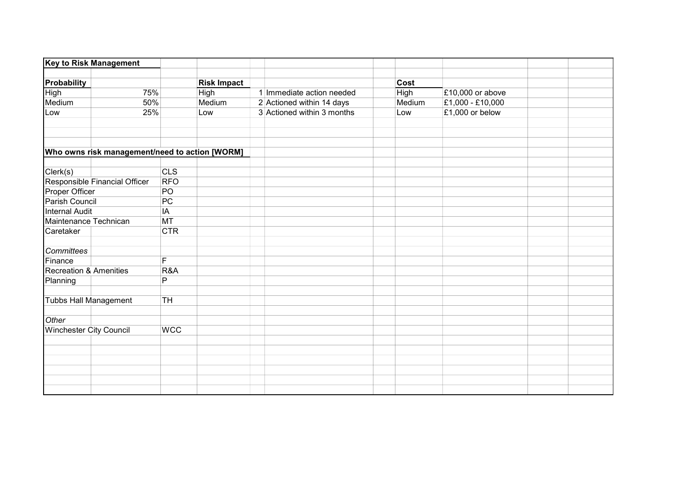|                                   | <b>Key to Risk Management</b>                  |            |                    |                            |             |                  |  |
|-----------------------------------|------------------------------------------------|------------|--------------------|----------------------------|-------------|------------------|--|
| Probability                       |                                                |            | <b>Risk Impact</b> |                            | Cost        |                  |  |
| <b>High</b>                       | 75%                                            |            | <b>High</b>        | 1 Immediate action needed  | <b>High</b> | £10,000 or above |  |
| Medium                            | 50%                                            |            | Medium             | 2 Actioned within 14 days  | Medium      | £1,000 - £10,000 |  |
| Low                               | 25%                                            |            | Low                | 3 Actioned within 3 months | Low         | £1,000 or below  |  |
|                                   |                                                |            |                    |                            |             |                  |  |
|                                   |                                                |            |                    |                            |             |                  |  |
|                                   | Who owns risk management/need to action [WORM] |            |                    |                            |             |                  |  |
|                                   |                                                |            |                    |                            |             |                  |  |
| Clerk(s)                          |                                                | <b>CLS</b> |                    |                            |             |                  |  |
|                                   | Responsible Financial Officer                  | <b>RFO</b> |                    |                            |             |                  |  |
| Proper Officer                    |                                                | PO         |                    |                            |             |                  |  |
| Parish Council                    |                                                | PC         |                    |                            |             |                  |  |
| <b>Internal Audit</b>             |                                                | IA         |                    |                            |             |                  |  |
| Maintenance Technican             |                                                | <b>MT</b>  |                    |                            |             |                  |  |
| Caretaker                         |                                                | <b>CTR</b> |                    |                            |             |                  |  |
| Committees                        |                                                |            |                    |                            |             |                  |  |
| Finance                           |                                                | F          |                    |                            |             |                  |  |
| <b>Recreation &amp; Amenities</b> |                                                | R&A        |                    |                            |             |                  |  |
| Planning                          |                                                | P          |                    |                            |             |                  |  |
|                                   |                                                |            |                    |                            |             |                  |  |
|                                   | <b>Tubbs Hall Management</b>                   | TH         |                    |                            |             |                  |  |
|                                   |                                                |            |                    |                            |             |                  |  |
| Other                             |                                                |            |                    |                            |             |                  |  |
| <b>Winchester City Council</b>    |                                                | <b>WCC</b> |                    |                            |             |                  |  |
|                                   |                                                |            |                    |                            |             |                  |  |
|                                   |                                                |            |                    |                            |             |                  |  |
|                                   |                                                |            |                    |                            |             |                  |  |
|                                   |                                                |            |                    |                            |             |                  |  |
|                                   |                                                |            |                    |                            |             |                  |  |
|                                   |                                                |            |                    |                            |             |                  |  |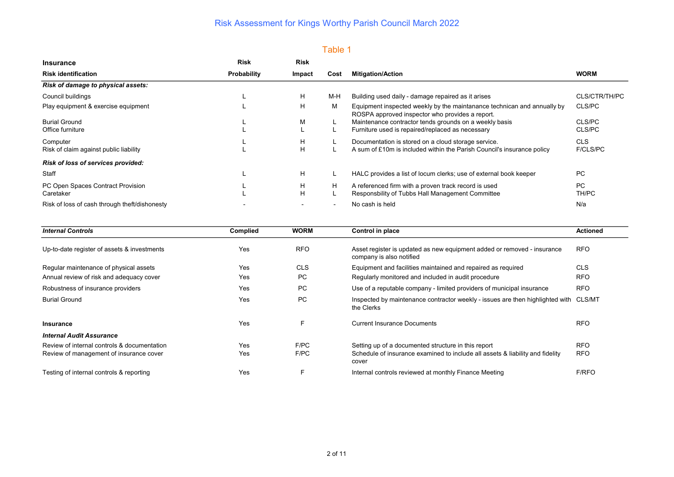### Table 1

| <b>Insurance</b>                              | <b>Risk</b> | <b>Risk</b>              |      |                                                                                                                            |               |
|-----------------------------------------------|-------------|--------------------------|------|----------------------------------------------------------------------------------------------------------------------------|---------------|
| <b>Risk identification</b>                    | Probability | Impact                   | Cost | <b>Mitigation/Action</b>                                                                                                   | <b>WORM</b>   |
| Risk of damage to physical assets:            |             |                          |      |                                                                                                                            |               |
| Council buildings                             |             | Н                        | M-H  | Building used daily - damage repaired as it arises                                                                         | CLS/CTR/TH/PC |
| Play equipment & exercise equipment           |             | Н                        | M    | Equipment inspected weekly by the maintanance technican and annually by<br>ROSPA approved inspector who provides a report. | CLS/PC        |
| <b>Burial Ground</b>                          |             | М                        |      | Maintenance contractor tends grounds on a weekly basis                                                                     | CLS/PC        |
| Office furniture                              |             |                          |      | Furniture used is repaired/replaced as necessary                                                                           | CLS/PC        |
| Computer                                      |             | H                        |      | Documentation is stored on a cloud storage service.                                                                        | CLS           |
| Risk of claim against public liability        |             | H                        |      | A sum of £10m is included within the Parish Council's insurance policy                                                     | F/CLS/PC      |
| Risk of loss of services provided:            |             |                          |      |                                                                                                                            |               |
| Staff                                         |             | H                        |      | HALC provides a list of locum clerks; use of external book keeper                                                          | <b>PC</b>     |
| PC Open Spaces Contract Provision             |             | H                        | H    | A referenced firm with a proven track record is used                                                                       | <b>PC</b>     |
| Caretaker                                     |             | Н                        |      | Responsbility of Tubbs Hall Management Committee                                                                           | TH/PC         |
| Risk of loss of cash through theft/dishonesty |             | $\overline{\phantom{0}}$ |      | No cash is held                                                                                                            | N/a           |

| <b>Internal Controls</b>                    | Complied | <b>WORM</b> | Control in place                                                                                    | <b>Actioned</b> |
|---------------------------------------------|----------|-------------|-----------------------------------------------------------------------------------------------------|-----------------|
| Up-to-date register of assets & investments | Yes      | <b>RFO</b>  | Asset register is updated as new equipment added or removed - insurance<br>company is also notified | <b>RFO</b>      |
| Regular maintenance of physical assets      | Yes      | <b>CLS</b>  | Equipment and facilities maintained and repaired as required                                        | <b>CLS</b>      |
| Annual review of risk and adequacy cover    | Yes      | PC          | Regularly monitored and included in audit procedure                                                 | <b>RFO</b>      |
| Robustness of insurance providers           | Yes      | PC          | Use of a reputable company - limited providers of municipal insurance                               | <b>RFO</b>      |
| <b>Burial Ground</b>                        | Yes      | <b>PC</b>   | Inspected by maintenance contractor weekly - issues are then highlighted with CLS/MT<br>the Clerks  |                 |
| <b>Insurance</b>                            | Yes      | F           | <b>Current Insurance Documents</b>                                                                  | <b>RFO</b>      |
| <b>Internal Audit Assurance</b>             |          |             |                                                                                                     |                 |
| Review of internal controls & documentation | Yes      | F/PC        | Setting up of a documented structure in this report                                                 | <b>RFO</b>      |
| Review of management of insurance cover     | Yes      | F/PC        | Schedule of insurance examined to include all assets & liability and fidelity<br>cover              | <b>RFO</b>      |
| Testing of internal controls & reporting    | Yes      |             | Internal controls reviewed at monthly Finance Meeting                                               | <b>F/RFO</b>    |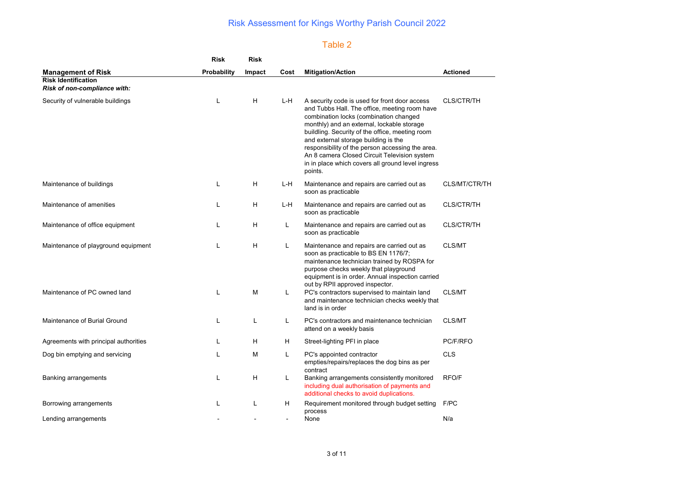### Table 2

|                                                                   | <b>Risk</b>        | <b>Risk</b> |      |                                                                                                                                                                                                                                                                                                                                                                                                                                                       |                   |
|-------------------------------------------------------------------|--------------------|-------------|------|-------------------------------------------------------------------------------------------------------------------------------------------------------------------------------------------------------------------------------------------------------------------------------------------------------------------------------------------------------------------------------------------------------------------------------------------------------|-------------------|
| <b>Management of Risk</b>                                         | <b>Probability</b> | Impact      | Cost | <b>Mitigation/Action</b>                                                                                                                                                                                                                                                                                                                                                                                                                              | <b>Actioned</b>   |
| <b>Risk Identification</b><br><b>Risk of non-compliance with:</b> |                    |             |      |                                                                                                                                                                                                                                                                                                                                                                                                                                                       |                   |
| Security of vulnerable buildings                                  | $\mathbf{I}$       | H           | L-H  | A security code is used for front door access<br>and Tubbs Hall. The office, meeting room have<br>combination locks (combination changed<br>monthly) and an external, lockable storage<br>buildling. Security of the office, meeting room<br>and external storage building is the<br>responsibility of the person accessing the area.<br>An 8 camera Closed Circuit Television system<br>in in place which covers all ground level ingress<br>points. | <b>CLS/CTR/TH</b> |
| Maintenance of buildings                                          | $\mathbf{L}$       | H           | L-H  | Maintenance and repairs are carried out as<br>soon as practicable                                                                                                                                                                                                                                                                                                                                                                                     | CLS/MT/CTR/TH     |
| Maintenance of amenities                                          |                    | H           | L-H  | Maintenance and repairs are carried out as<br>soon as practicable                                                                                                                                                                                                                                                                                                                                                                                     | <b>CLS/CTR/TH</b> |
| Maintenance of office equipment                                   |                    | H           | L    | Maintenance and repairs are carried out as<br>soon as practicable                                                                                                                                                                                                                                                                                                                                                                                     | <b>CLS/CTR/TH</b> |
| Maintenance of playground equipment                               | L                  | H           | L    | Maintenance and repairs are carried out as<br>soon as practicable to BS EN 1176/7;<br>maintenance technician trained by ROSPA for<br>purpose checks weekly that playground<br>equipment is in order. Annual inspection carried<br>out by RPII approved inspector.                                                                                                                                                                                     | CLS/MT            |
| Maintenance of PC owned land                                      | $\mathbf{L}$       | M           | Г    | PC's contractors supervised to maintain land<br>and maintenance technician checks weekly that<br>land is in order                                                                                                                                                                                                                                                                                                                                     | CLS/MT            |
| Maintenance of Burial Ground                                      | $\mathbf{L}$       | L           | L    | PC's contractors and maintenance technician<br>attend on a weekly basis                                                                                                                                                                                                                                                                                                                                                                               | CLS/MT            |
| Agreements with principal authorities                             |                    | H           | H    | Street-lighting PFI in place                                                                                                                                                                                                                                                                                                                                                                                                                          | PC/F/RFO          |
| Dog bin emptying and servicing                                    |                    | М           | L    | PC's appointed contractor<br>empties/repairs/replaces the dog bins as per<br>contract                                                                                                                                                                                                                                                                                                                                                                 | <b>CLS</b>        |
| Banking arrangements                                              |                    | H           | L    | Banking arrangements consistently monitored<br>including dual authorisation of payments and<br>additional checks to avoid duplications.                                                                                                                                                                                                                                                                                                               | RFO/F             |
| Borrowing arrangements                                            |                    |             | н    | Requirement monitored through budget setting<br>process                                                                                                                                                                                                                                                                                                                                                                                               | F/PC              |
| Lending arrangements                                              |                    |             |      | None                                                                                                                                                                                                                                                                                                                                                                                                                                                  | N/a               |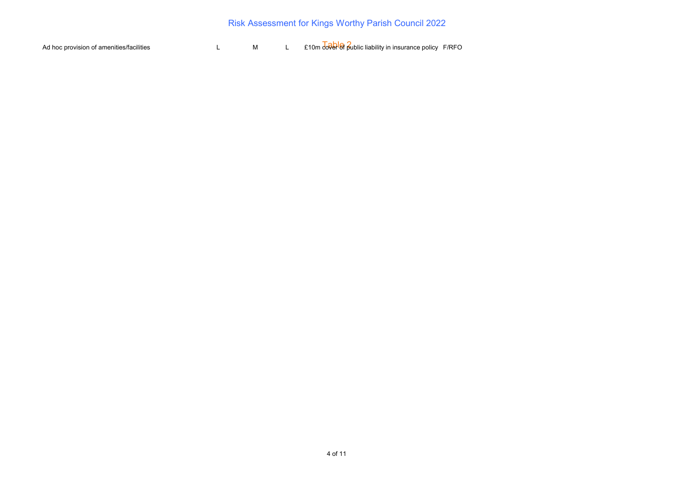Ad hoc provision of amenities/facilities **Addel** L M L £10m and public liability in insurance policy F/RFO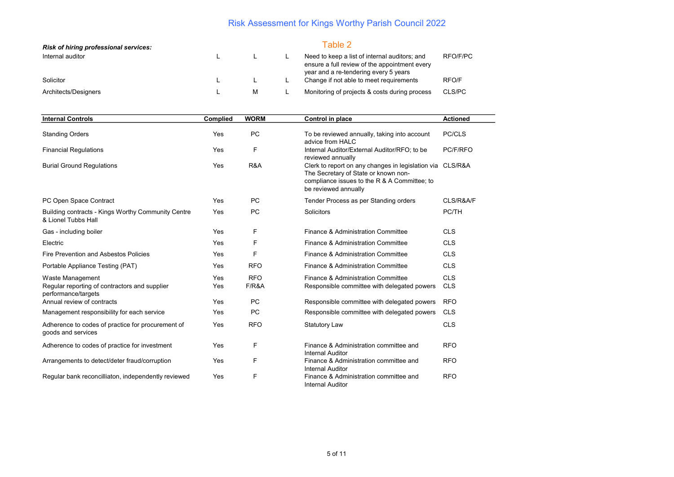| <b>Risk of hiring professional services:</b> |   |   | Table 2                                                                                                                                 |          |
|----------------------------------------------|---|---|-----------------------------------------------------------------------------------------------------------------------------------------|----------|
| Internal auditor                             | ∸ |   | Need to keep a list of internal auditors; and<br>ensure a full review of the appointment every<br>year and a re-tendering every 5 years | RFO/F/PC |
| Solicitor                                    |   |   | Change if not able to meet requirements                                                                                                 | RFO/F    |
| Architects/Designers                         |   | M | Monitoring of projects & costs during process                                                                                           | CLS/PC   |

| <b>Internal Controls</b>                                                                 | Complied   | <b>WORM</b>         | Control in place                                                                                                                                                          | <b>Actioned</b>          |  |  |
|------------------------------------------------------------------------------------------|------------|---------------------|---------------------------------------------------------------------------------------------------------------------------------------------------------------------------|--------------------------|--|--|
| <b>Standing Orders</b>                                                                   | Yes        | <b>PC</b>           | To be reviewed annually, taking into account<br>advice from HALC                                                                                                          | PC/CLS                   |  |  |
| <b>Financial Regulations</b>                                                             | Yes        | F                   | Internal Auditor/External Auditor/RFO; to be<br>reviewed annually                                                                                                         | PC/F/RFO                 |  |  |
| <b>Burial Ground Regulations</b>                                                         | Yes        | R&A                 | Clerk to report on any changes in legislation via CLS/R&A<br>The Secretary of State or known non-<br>compliance issues to the R & A Committee; to<br>be reviewed annually |                          |  |  |
| PC Open Space Contract                                                                   | Yes        | <b>PC</b>           | Tender Process as per Standing orders                                                                                                                                     | CLS/R&A/F                |  |  |
| Building contracts - Kings Worthy Community Centre<br>& Lionel Tubbs Hall                | <b>Yes</b> | PC                  | Solicitors                                                                                                                                                                | PC/TH                    |  |  |
| Gas - including boiler                                                                   | Yes        | F                   | Finance & Administration Committee                                                                                                                                        | <b>CLS</b>               |  |  |
| Electric                                                                                 | Yes        | F                   | Finance & Administration Committee                                                                                                                                        | <b>CLS</b>               |  |  |
| Fire Prevention and Asbestos Policies                                                    | Yes        | F                   | Finance & Administration Committee                                                                                                                                        | <b>CLS</b>               |  |  |
| Portable Appliance Testing (PAT)                                                         | Yes        | <b>RFO</b>          | Finance & Administration Committee                                                                                                                                        | <b>CLS</b>               |  |  |
| Waste Management<br>Regular reporting of contractors and supplier<br>performance/targets | Yes<br>Yes | <b>RFO</b><br>F/R&A | Finance & Administration Committee<br>Responsible committee with delegated powers                                                                                         | <b>CLS</b><br><b>CLS</b> |  |  |
| Annual review of contracts                                                               | <b>Yes</b> | <b>PC</b>           | Responsible committee with delegated powers                                                                                                                               | <b>RFO</b>               |  |  |
| Management responsibility for each service                                               | Yes        | <b>PC</b>           | Responsible committee with delegated powers                                                                                                                               | <b>CLS</b>               |  |  |
| Adherence to codes of practice for procurement of<br>goods and services                  | Yes        | <b>RFO</b>          | <b>Statutory Law</b>                                                                                                                                                      | <b>CLS</b>               |  |  |
| Adherence to codes of practice for investment                                            | Yes        | F                   | Finance & Administration committee and<br><b>Internal Auditor</b>                                                                                                         | <b>RFO</b>               |  |  |
| Arrangements to detect/deter fraud/corruption                                            | Yes        | F                   | Finance & Administration committee and<br><b>Internal Auditor</b>                                                                                                         | <b>RFO</b>               |  |  |
| Regular bank reconcilliaton, independently reviewed                                      | Yes        | F                   | Finance & Administration committee and<br><b>Internal Auditor</b>                                                                                                         | <b>RFO</b>               |  |  |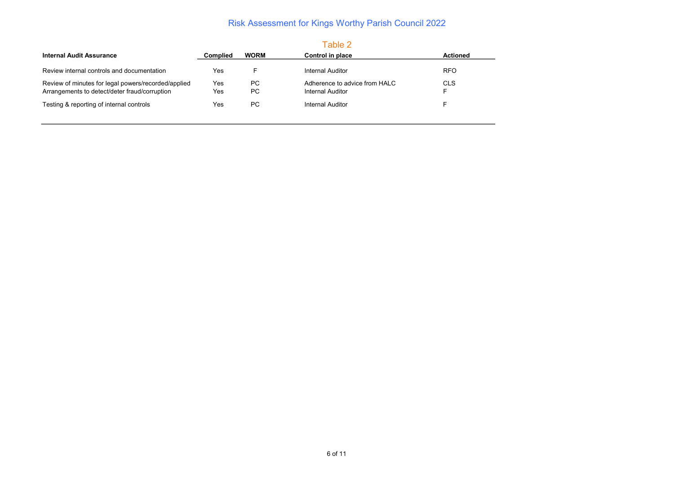| <b>Internal Audit Assurance</b>                     | <b>Complied</b> | <b>WORM</b> | Control in place              | <b>Actioned</b> |
|-----------------------------------------------------|-----------------|-------------|-------------------------------|-----------------|
|                                                     |                 |             |                               |                 |
| Review internal controls and documentation          | Yes             |             | Internal Auditor              | <b>RFO</b>      |
| Review of minutes for legal powers/recorded/applied | Yes             | РC          | Adherence to advice from HALC | <b>CLS</b>      |
| Arrangements to detect/deter fraud/corruption       | Yes             | PC.         | Internal Auditor              |                 |
| Testing & reporting of internal controls            | Yes             | PC.         | Internal Auditor              |                 |
|                                                     |                 |             |                               |                 |
|                                                     |                 |             |                               |                 |

#### Table 2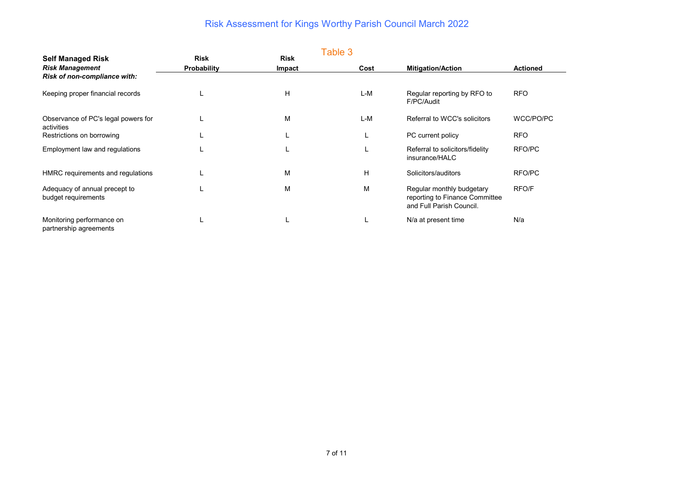|                                                      |                            |                       | Table 3 |                                                                                         |                 |
|------------------------------------------------------|----------------------------|-----------------------|---------|-----------------------------------------------------------------------------------------|-----------------|
| <b>Self Managed Risk</b><br><b>Risk Management</b>   | <b>Risk</b><br>Probability | <b>Risk</b><br>Impact | Cost    | <b>Mitigation/Action</b>                                                                | <b>Actioned</b> |
| Risk of non-compliance with:                         |                            |                       |         |                                                                                         |                 |
| Keeping proper financial records                     |                            | н                     | L-M     | Regular reporting by RFO to<br>F/PC/Audit                                               | <b>RFO</b>      |
| Observance of PC's legal powers for<br>activities    |                            | М                     | L-M     | Referral to WCC's solicitors                                                            | WCC/PO/PC       |
| Restrictions on borrowing                            |                            |                       |         | PC current policy                                                                       | <b>RFO</b>      |
| Employment law and regulations                       |                            |                       |         | Referral to solicitors/fidelity<br>insurance/HALC                                       | RFO/PC          |
| HMRC requirements and regulations                    |                            | М                     | H       | Solicitors/auditors                                                                     | RFO/PC          |
| Adequacy of annual precept to<br>budget requirements |                            | М                     | М       | Regular monthly budgetary<br>reporting to Finance Committee<br>and Full Parish Council. | RFO/F           |
| Monitoring performance on<br>partnership agreements  |                            |                       |         | N/a at present time                                                                     | N/a             |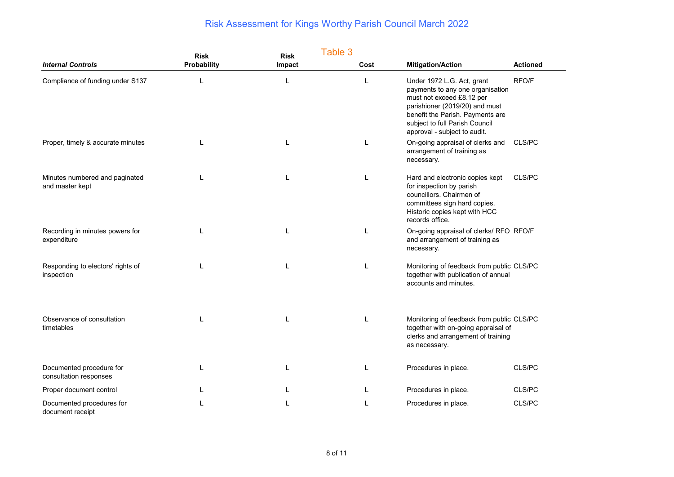|                                                    | <b>Risk</b> | Table 3<br><b>Risk</b> |      |                                                                                                                                                                                                                                     |                 |
|----------------------------------------------------|-------------|------------------------|------|-------------------------------------------------------------------------------------------------------------------------------------------------------------------------------------------------------------------------------------|-----------------|
| <b>Internal Controls</b>                           | Probability | Impact                 | Cost | <b>Mitigation/Action</b>                                                                                                                                                                                                            | <b>Actioned</b> |
| Compliance of funding under S137                   |             | L                      | L    | Under 1972 L.G. Act, grant<br>payments to any one organisation<br>must not exceed £8.12 per<br>parishioner (2019/20) and must<br>benefit the Parish. Payments are<br>subject to full Parish Council<br>approval - subject to audit. | RFO/F           |
| Proper, timely & accurate minutes                  |             | L                      | L    | On-going appraisal of clerks and<br>arrangement of training as<br>necessary.                                                                                                                                                        | CLS/PC          |
| Minutes numbered and paginated<br>and master kept  | L           | L                      | L    | Hard and electronic copies kept<br>for inspection by parish<br>councillors. Chairmen of<br>committees sign hard copies.<br>Historic copies kept with HCC<br>records office.                                                         | CLS/PC          |
| Recording in minutes powers for<br>expenditure     |             |                        | L    | On-going appraisal of clerks/ RFO RFO/F<br>and arrangement of training as<br>necessary.                                                                                                                                             |                 |
| Responding to electors' rights of<br>inspection    |             | L                      | L    | Monitoring of feedback from public CLS/PC<br>together with publication of annual<br>accounts and minutes.                                                                                                                           |                 |
| Observance of consultation<br>timetables           |             |                        | L    | Monitoring of feedback from public CLS/PC<br>together with on-going appraisal of<br>clerks and arrangement of training<br>as necessary.                                                                                             |                 |
| Documented procedure for<br>consultation responses |             |                        |      | Procedures in place.                                                                                                                                                                                                                | CLS/PC          |
| Proper document control                            |             |                        |      | Procedures in place.                                                                                                                                                                                                                | CLS/PC          |
| Documented procedures for<br>document receipt      |             |                        |      | Procedures in place.                                                                                                                                                                                                                | CLS/PC          |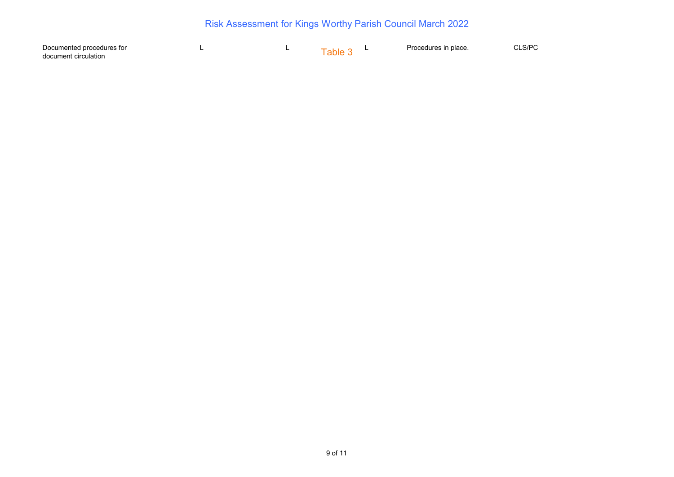| Documented procedures for |  |      | Procedures in place. |  |
|---------------------------|--|------|----------------------|--|
| document circulation      |  | anıe |                      |  |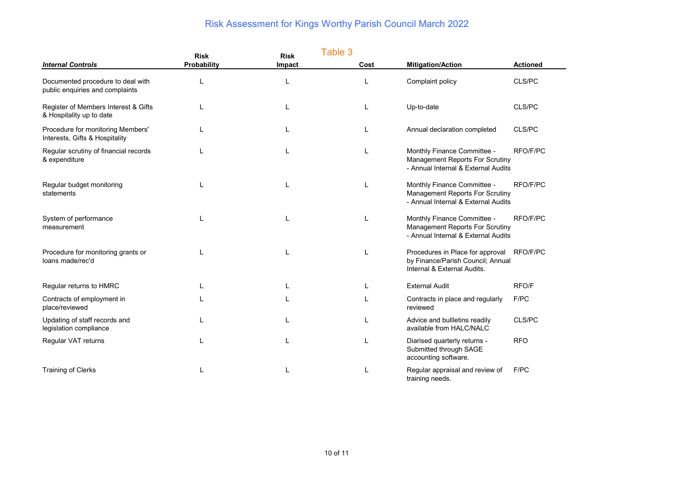|                                                                      | <b>Risk</b> | <b>Risk</b> | Table 3 |                                                                                                              |                 |
|----------------------------------------------------------------------|-------------|-------------|---------|--------------------------------------------------------------------------------------------------------------|-----------------|
| <b>Internal Controls</b>                                             | Probability | Impact      | Cost    | <b>Mitigation/Action</b>                                                                                     | <b>Actioned</b> |
| Documented procedure to deal with<br>public enquiries and complaints |             | L           | L       | Complaint policy                                                                                             | CLS/PC          |
| Register of Members Interest & Gifts<br>& Hospitality up to date     |             |             | L       | Up-to-date                                                                                                   | CLS/PC          |
| Procedure for monitoring Members'<br>Interests, Gifts & Hospitality  |             |             | L       | Annual declaration completed                                                                                 | CLS/PC          |
| Regular scrutiny of financial records<br>& expenditure               |             | L           | L       | Monthly Finance Committee -<br>Management Reports For Scrutiny<br>- Annual Internal & External Audits        | RFO/F/PC        |
| Regular budget monitoring<br>statements                              |             | L           | L       | Monthly Finance Committee -<br><b>Management Reports For Scrutiny</b><br>- Annual Internal & External Audits | RFO/F/PC        |
| System of performance<br>measurement                                 |             | L           | L       | Monthly Finance Committee -<br><b>Management Reports For Scrutiny</b><br>- Annual Internal & External Audits | RFO/F/PC        |
| Procedure for monitoring grants or<br>loans made/rec'd               |             |             | L       | Procedures in Place for approval<br>by Finance/Parish Council; Annual<br>Internal & External Audits.         | RFO/F/PC        |
| Regular returns to HMRC                                              |             | L           | L       | <b>External Audit</b>                                                                                        | RFO/F           |
| Contracts of employment in<br>place/reviewed                         |             |             |         | Contracts in place and regularly<br>reviewed                                                                 | F/PC            |
| Updating of staff records and<br>legislation compliance              |             |             | L       | Advice and bullletins readily<br>available from HALC/NALC                                                    | CLS/PC          |
| Regular VAT returns                                                  |             |             |         | Diarised quarterly returns -<br>Submitted through SAGE<br>accounting software.                               | <b>RFO</b>      |
| <b>Training of Clerks</b>                                            |             |             | L       | Regular appraisal and review of<br>training needs.                                                           | F/PC            |